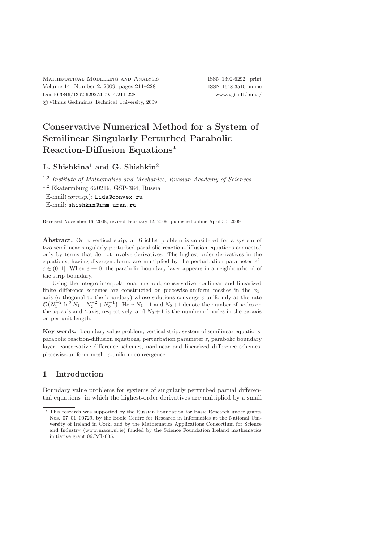Mathematical Modelling and Analysis ISSN 1392-6292 print Volume 14 Number 2, 2009, pages 211–228 ISSN 1648-3510 online Doi[:10.3846/1392-6292.2009.14.211-228](http://dx.doi.org/10.3846/1392-6292.2009.14.211-228) [www.vgtu.lt/mma/](http://www.vgtu.lt/mma/) c Vilnius Gediminas Technical University, 2009

# Conservative Numerical Method for a System of Semilinear Singularly Perturbed Parabolic Reaction-Diffusion Equations<sup>∗</sup>

## L. Shishkina<sup>1</sup> and G. Shishkin<sup>2</sup>

1,2 *Institute of Mathematics and Mechanics, Russian Academy of Sciences*

 $1,2$  Ekaterinburg 620219, GSP-384, Russia

E-mail(*corresp*.): [Lida@convex.ru](mailto:Lida@convex.ru) E-mail: [shishkin@imm.uran.ru](mailto:shishkin@imm.uran.ru)

Received November 16, 2008; revised February 12, 2009; published online April 30, 2009

Abstract. On a vertical strip, a Dirichlet problem is considered for a system of two semilinear singularly perturbed parabolic reaction-diffusion equations connected only by terms that do not involve derivatives. The highest-order derivatives in the equations, having divergent form, are multiplied by the perturbation parameter  $\varepsilon^2$ ;  $\varepsilon \in (0, 1]$ . When  $\varepsilon \to 0$ , the parabolic boundary layer appears in a neighbourhood of the strip boundary.

Using the integro-interpolational method, conservative nonlinear and linearized finite difference schemes are constructed on piecewise-uniform meshes in the  $x_1$ axis (orthogonal to the boundary) whose solutions converge  $\varepsilon$ -uniformly at the rate  $\mathcal{O}(N_1^{-2} \ln^2 N_1 + N_2^{-2} + N_0^{-1})$ . Here  $N_1 + 1$  and  $N_0 + 1$  denote the number of nodes on the  $x_1$ -axis and t-axis, respectively, and  $N_2 + 1$  is the number of nodes in the  $x_2$ -axis on per unit length.

Key words: boundary value problem, vertical strip, system of semilinear equations, parabolic reaction-diffusion equations, perturbation parameter  $\varepsilon$ , parabolic boundary layer, conservative difference schemes, nonlinear and linearized difference schemes, piecewise-uniform mesh,  $\varepsilon$ -uniform convergence..

## 1 Introduction

Boundary value problems for systems of singularly perturbed partial differential equations in which the highest-order derivatives are multiplied by a small

<sup>∗</sup> This research was supported by the Russian Foundation for Basic Research under grants Nos. 07–01–00729, by the Boole Centre for Research in Informatics at the National University of Ireland in Cork, and by the Mathematics Applications Consortium for Science and Industry (www.macsi.ul.ie) funded by the Science Foundation Ireland mathematics initiative grant 06/MI/005.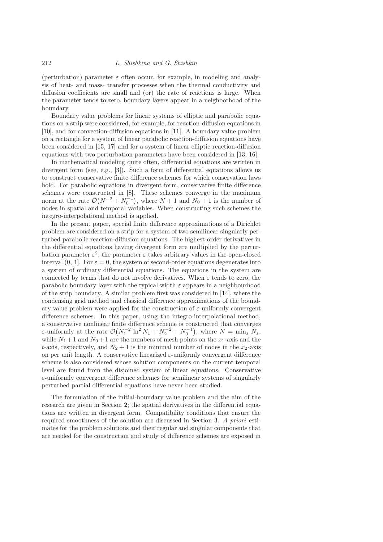(perturbation) parameter  $\varepsilon$  often occur, for example, in modeling and analysis of heat- and mass- transfer processes when the thermal conductivity and diffusion coefficients are small and (or) the rate of reactions is large. When the parameter tends to zero, boundary layers appear in a neighborhood of the boundary.

Boundary value problems for linear systems of elliptic and parabolic equations on a strip were considered, for example, for reaction-diffusion equations in [\[10\]](#page-17-0), and for convection-diffusion equations in [\[11\]](#page-17-1). A boundary value problem on a rectangle for a system of linear parabolic reaction-diffusion equations have been considered in [\[15,](#page-17-2) [17\]](#page-17-3) and for a system of linear elliptic reaction-diffusion equations with two perturbation parameters have been considered in [\[13,](#page-17-4) [16\]](#page-17-5).

In mathematical modeling quite often, differential equations are written in divergent form (see, e.g., [\[3\]](#page-16-0)). Such a form of differential equations allows us to construct conservative finite difference schemes for which conservation laws hold. For parabolic equations in divergent form, conservative finite difference schemes were constructed in [\[8\]](#page-17-6). These schemes converge in the maximum norm at the rate  $\mathcal{O}(N^{-2} + N_0^{-1})$ , where  $N + 1$  and  $N_0 + 1$  is the number of nodes in spatial and temporal variables. When constructing such schemes the integro-interpolational method is applied.

In the present paper, special finite difference approximations of a Dirichlet problem are considered on a strip for a system of two semilinear singularly perturbed parabolic reaction-diffusion equations. The highest-order derivatives in the differential equations having divergent form are multiplied by the perturbation parameter  $\varepsilon^2$ ; the parameter  $\varepsilon$  takes arbitrary values in the open-closed interval (0, 1]. For  $\varepsilon = 0$ , the system of second-order equations degenerates into a system of ordinary differential equations. The equations in the system are connected by terms that do not involve derivatives. When  $\varepsilon$  tends to zero, the parabolic boundary layer with the typical width  $\varepsilon$  appears in a neighbourhood of the strip boundary. A similar problem first was considered in [\[14\]](#page-17-7), where the condensing grid method and classical difference approximations of the boundary value problem were applied for the construction of  $\varepsilon$ -uniformly convergent difference schemes. In this paper, using the integro-interpolational method, a conservative nonlinear finite difference scheme is constructed that converges  $\varepsilon$ -uniformly at the rate  $\mathcal{O}(N_1^{-2} \ln^2 N_1 + N_2^{-2} + N_0^{-1}),$  where  $N = \min_s \tilde{N}_s$ , while  $N_1 + 1$  and  $N_0 + 1$  are the numbers of mesh points on the  $x_1$ -axis and the t-axis, respectively, and  $N_2 + 1$  is the minimal number of nodes in the  $x_2$ -axis on per unit length. A conservative linearized  $\varepsilon$ -uniformly convergent difference scheme is also considered whose solution components on the current temporal level are found from the disjoined system of linear equations. Conservative  $\varepsilon$ -uniformly convergent difference schemes for semilinear systems of singularly perturbed partial differential equations have never been studied.

The formulation of the initial-boundary value problem and the aim of the research are given in Section [2;](#page-2-0) the spatial derivatives in the differential equations are written in divergent form. Compatibility conditions that ensure the required smoothness of the solution are discussed in Section [3.](#page-3-0) *A priori* estimates for the problem solutions and their regular and singular components that are needed for the construction and study of difference schemes are exposed in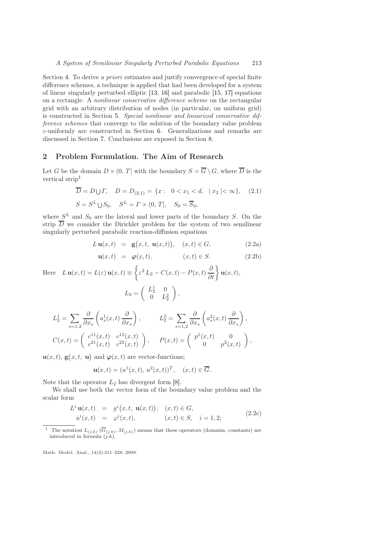Section [4.](#page-5-0) To derive *a priori* estimates and justify convergence of special finite difference schemes, a technique is applied that had been developed for a system of linear singularly perturbed elliptic [\[13,](#page-17-4) [16\]](#page-17-5) and parabolic [\[15,](#page-17-2) [17\]](#page-17-3) equations on a rectangle. A *nonlinear conservative difference scheme* on the rectangular grid with an arbitrary distribution of nodes (in particular, on uniform grid) is constructed in Section [5.](#page-9-0) *Special nonlinear and linearized conservative difference schemes* that converge to the solution of the boundary value problem  $\varepsilon$ -uniformly are constructed in Section [6.](#page-13-0) Generalizations and remarks are discussed in Section [7.](#page-15-0) Conclusions are exposed in Section [8.](#page-16-1)

#### <span id="page-2-0"></span>2 Problem Formulation. The Aim of Research

Let G be the domain  $D \times (0, T]$  with the boundary  $S = \overline{G} \setminus G$ , where  $\overline{D}$  is the vertical strip[1](#page-2-1)

$$
\overline{D} = D \cup \Gamma, \quad D = D_{(2.1)} = \{x : \ 0 < x_1 < d, \ |x_2| < \infty\}, \quad (2.1)
$$
\n
$$
S = S^L \cup S_0, \quad S^L = \Gamma \times (0, T], \quad S_0 = \overline{S}_0,
$$

where  $S<sup>L</sup>$  and  $S<sub>0</sub>$  are the lateral and lower parts of the boundary S. On the strip D we consider the Dirichlet problem for the system of two semilinear singularly perturbed parabolic reaction-diffusion equations

$$
L\mathbf{u}(x,t) = \mathbf{g}(x,t,\mathbf{u}(x,t)), (x,t) \in G,
$$
\n(2.2a)

$$
\mathbf{u}(x,t) = \boldsymbol{\varphi}(x,t), \qquad (x,t) \in S. \tag{2.2b}
$$

Here  $L \mathbf{u}(x,t) = L(\varepsilon) \mathbf{u}(x,t) \equiv$  $\sqrt{ }$  $\varepsilon^2 L_2 - C(x,t) - P(x,t) \frac{\partial}{\partial t} \bigg\} \mathbf{u}(x,t),$  $L_2 =$  $\begin{pmatrix} L_2^1 & 0 \end{pmatrix}$ 0  $L_2^2$  $\overline{\phantom{0}}$ ,

$$
L_2^1 = \sum_{s=1,2} \frac{\partial}{\partial x_s} \left( a_s^1(x,t) \frac{\partial}{\partial x_s} \right), \qquad L_2^2 = \sum_{s=1,2} \frac{\partial}{\partial x_s} \left( a_s^2(x,t) \frac{\partial}{\partial x_s} \right),
$$
  

$$
C(x,t) = \begin{pmatrix} c^{11}(x,t) & c^{12}(x,t) \\ c^{21}(x,t) & c^{22}(x,t) \end{pmatrix}, \qquad P(x,t) = \begin{pmatrix} p^1(x,t) & 0 \\ 0 & p^2(x,t) \end{pmatrix},
$$

 $\mathbf{u}(x,t), \mathbf{g}(x,t, \mathbf{u})$  and  $\boldsymbol{\varphi}(x,t)$  are vector-functions;

$$
\mathbf{u}(x,t) = (u^1(x,t), u^2(x,t))^T, \quad (x,t) \in \overline{G}.
$$

Note that the operator  $L_2$  has divergent form [\[8\]](#page-17-6).

We shall use both the vector form of the boundary value problem and the scalar form

$$
L^{i} \mathbf{u}(x,t) = g^{i}(x,t, \mathbf{u}(x,t)), (x,t) \in G, u^{i}(x,t) = \varphi^{i}(x,t), (x,t) \in S, i = 1,2;
$$
 (2.2c)

<span id="page-2-1"></span><sup>1</sup> The notation  $L_{(j,k)}(\overline{G}_{(j,k)}, M_{(j,k)})$  means that these operators (domains, constants) are introduced in formula  $(j.k)$ .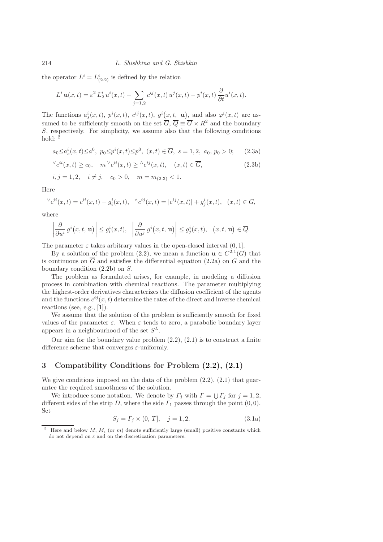the operator  $L^i = L^i_{(2,2)}$  is defined by the relation

$$
L^i \mathbf{u}(x,t) = \varepsilon^2 L_2^i u^i(x,t) - \sum_{j=1,2} c^{ij}(x,t) u^j(x,t) - p^i(x,t) \frac{\partial}{\partial t} u^i(x,t).
$$

The functions  $a_s^i(x,t)$ ,  $p^i(x,t)$ ,  $c^{ij}(x,t)$ ,  $g^i(x,t, \mathbf{u})$ , and also  $\varphi^i(x,t)$  are assumed to be sufficiently smooth on the set  $\overline{G}$ ,  $\overline{Q} \equiv \overline{G} \times R^2$  and the boundary S, respectively. For simplicity, we assume also that the following conditions hold:  $<sup>2</sup>$  $<sup>2</sup>$  $<sup>2</sup>$ </sup>

<span id="page-3-4"></span>
$$
a_0 \le a_s^i(x, t) \le a^0
$$
,  $p_0 \le p^i(x, t) \le p^0$ ,  $(x, t) \in \overline{G}$ ,  $s = 1, 2$ ,  $a_0, p_0 > 0$ ; (2.3a)

<span id="page-3-2"></span><span id="page-3-1"></span>
$$
\check{c}^{ii}(x,t) \ge c_0, \quad m \check{c}^{ii}(x,t) \ge \check{c}^{ij}(x,t), \quad (x,t) \in \overline{G}, \tag{2.3b}
$$

$$
i, j = 1, 2, i \neq j, c_0 > 0, m = m_{(2.3)} < 1.
$$

Here

$$
\nabla c^{ii}(x,t) = c^{ii}(x,t) - g_i^i(x,t), \quad \nabla c^{ij}(x,t) = |c^{ij}(x,t)| + g_j^i(x,t), \quad (x,t) \in \overline{G},
$$

where

$$
\left|\frac{\partial}{\partial u^i} g^i(x,t,\mathbf{u})\right| \leq g_i^i(x,t), \quad \left|\frac{\partial}{\partial u^j} g^i(x,t,\mathbf{u})\right| \leq g_j^i(x,t), \quad (x,t,\mathbf{u}) \in \overline{Q}.
$$

The parameter  $\varepsilon$  takes arbitrary values in the open-closed interval  $(0, 1]$ .

By a solution of the problem [\(2.2\)](#page-3-2), we mean a function  $\mathbf{u} \in C^{2,1}(G)$  that is continuous on  $\overline{G}$  and satisfies the differential equation [\(2.2a\)](#page-3-1) on G and the boundary condition [\(2.2b\)](#page-3-1) on S.

The problem as formulated arises, for example, in modeling a diffusion process in combination with chemical reactions. The parameter multiplying the highest-order derivatives characterizes the diffusion coefficient of the agents and the functions  $c^{ij}(x,t)$  determine the rates of the direct and inverse chemical reactions (see, e.g., [\[1\]](#page-16-2)).

We assume that the solution of the problem is sufficiently smooth for fixed values of the parameter  $\varepsilon$ . When  $\varepsilon$  tends to zero, a parabolic boundary layer appears in a neighbourhood of the set  $S^L$ .

Our aim for the boundary value problem  $(2.2)$ ,  $(2.1)$  is to construct a finite difference scheme that converges  $\varepsilon$ -uniformly.

## <span id="page-3-0"></span>3 Compatibility Conditions for Problem [\(2.2\)](#page-3-2), [\(2.1\)](#page-3-1)

We give conditions imposed on the data of the problem  $(2.2)$ ,  $(2.1)$  that guarantee the required smoothness of the solution.

We introduce some notation. We denote by  $\Gamma_j$  with  $\Gamma = \bigcup \Gamma_j$  for  $j = 1, 2$ , different sides of the strip D, where the side  $\Gamma_1$  passes through the point  $(0, 0)$ . Set

$$
S_j = \Gamma_j \times (0, T], \quad j = 1, 2. \tag{3.1a}
$$

<span id="page-3-3"></span><sup>&</sup>lt;sup>2</sup> Here and below *M*,  $M_i$  (or  $m$ ) denote sufficiently large (small) positive constants which do not depend on  $\varepsilon$  and on the discretization parameters.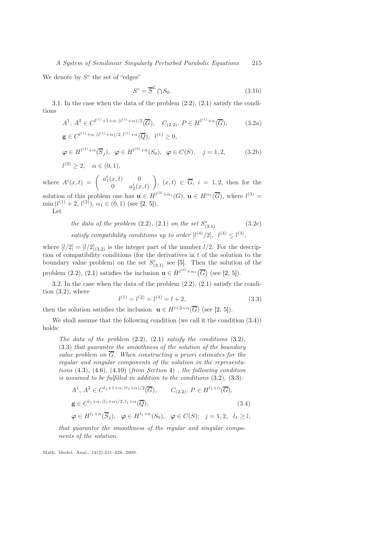We denote by  $S^c$  the set of "edges"

<span id="page-4-1"></span><span id="page-4-0"></span>
$$
S^c = \overline{S}^L \cap S_0. \tag{3.1b}
$$

[3.](#page-3-0)1. In the case when the data of the problem [\(2.2\)](#page-3-2), [\(2.1\)](#page-3-1) satisfy the conditions

$$
A^{1}, A^{2} \in C^{l^{(1)}+1+\alpha, (l^{(1)}+\alpha)/2}(\overline{G}), \quad C_{(2.2)}, P \in H^{l^{(1)}+\alpha}(\overline{G}), \qquad (3.2a)
$$

$$
\mathbf{g} \in C^{l^{(1)}+\alpha, (l^{(1)}+\alpha)/2, l^{(1)}+\alpha}(\overline{Q}), \quad l^{(1)} \ge 0,
$$

$$
\varphi \in H^{l^{(2)} + \alpha}(\overline{S}_j), \ \ \varphi \in H^{l^{(2)} + \alpha}(S_0), \ \ \varphi \in C(S), \ \ j = 1, 2, \tag{3.2b}
$$

 $l^{(2)} \geq 2, \quad \alpha \in (0,1),$ 

where  $A^i(x,t) = \begin{pmatrix} a_1^i(x,t) & 0 \\ 0 & a_1^i(x,t) \end{pmatrix}$ 0  $a_2^i(x,t)$  $\setminus$ ,  $(x, t) \in G$ ,  $i = 1, 2$ , then for the solution of this problem one has  $\mathbf{u} \in H^{(3)+\alpha_1}(G)$ ,  $\mathbf{u} \in H^{\alpha_1}(\overline{G})$ , where  $l^{(3)} =$  $\min (l^{(1)} + 2, l^{(2)}), \alpha_1 \in (0, 1)$  (see [\[2,](#page-16-3) [5\]](#page-16-4)).

Let

the data of the problem (2.2), (2.1) on the set 
$$
S_{(3.1)}^c
$$
 (3.2c)  
satisfy compatibility conditions up to order  $[l^{(4)}/2]$ ,  $l^{(4)} \le l^{(3)}$ ,

where  $[l/2] = [l/2]_{(3.2)}$  $[l/2] = [l/2]_{(3.2)}$  $[l/2] = [l/2]_{(3.2)}$  is the integer part of the number  $l/2$ . For the description of compatibility conditions (for the derivatives in  $t$  of the solution to the boundary value problem) on the set  $S_{(3,1)}^c$  see [\[5\]](#page-16-4). Then the solution of the problem [\(2.2\)](#page-3-2), [\(2.1\)](#page-3-1) satisfies the inclusion  $\mathbf{u} \in H^{l^{(4)} + \alpha_1}(\overline{G})$  (see [\[2,](#page-16-3) [5\]](#page-16-4)).

[3.](#page-3-0)2. In the case when the data of the problem [\(2.2\)](#page-3-2), [\(2.1\)](#page-3-1) satisfy the condition  $(3.2)$ , where

<span id="page-4-3"></span>
$$
l^{(1)} = l^{(2)} = l^{(4)} = l + 2,
$$
\n(3.3)

then the solution satisfies the inclusion  $\mathbf{u} \in H^{l+2+\alpha}(\overline{G})$  (see [\[2,](#page-16-3) [5\]](#page-16-4)).

We shall assume that the following condition (we call it the condition [\(3.4\)](#page-4-2)) holds:

*The data of the problem* [\(2.2\)](#page-3-2)*,* [\(2.1\)](#page-3-1) *satisfy the conditions* [\(3.2\)](#page-4-1)*,* [\(3.3\)](#page-4-3) *that guarantee the smoothness of the solution of the boundary value problem on*  $\overline{G}$ *. When constructing a priori estimates for the regular and singular components of the solution in the representations* [\(4.3\)](#page-5-1)*,* [\(4.6\)](#page-6-0)*,* [\(4.10\)](#page-7-0) (*from Section* [4](#page-5-0)) *, the following condition is assumed to be fulfilled in addition to the conditions* [\(3.2\)](#page-4-1)*,* [\(3.3\)](#page-4-3)*:*

<span id="page-4-2"></span>
$$
A^{1}, A^{2} \in C^{l_{1}+1+\alpha, (l_{1}+\alpha)/2}(\overline{G}), \qquad C_{(2.2)}, P \in H^{l_{1}+\alpha}(\overline{G}),
$$
  
\n
$$
\mathbf{g} \in C^{l_{1}+\alpha, (l_{1}+\alpha)/2, l_{1}+\alpha}(\overline{Q}), \qquad (3.4)
$$
  
\n
$$
\varphi \in H^{l_{1}+\alpha}(\overline{S}_{j}), \quad \varphi \in H^{l_{1}+\alpha}(S_{0}), \quad \varphi \in C(S); \quad j=1,2, l_{1} \ge l,
$$

*that guarantee the smoothness of the regular and singular components of the solution.*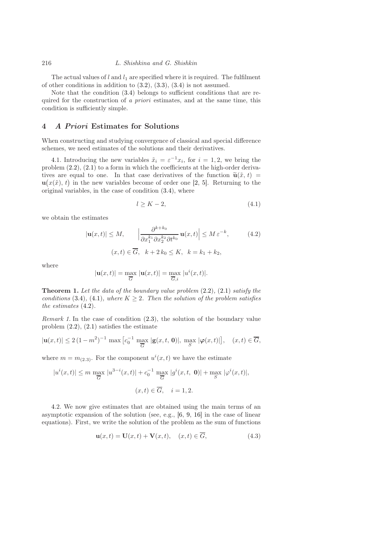The actual values of  $l$  and  $l_1$  are specified where it is required. The fulfilment of other conditions in addition to  $(3.2)$ ,  $(3.3)$ ,  $(3.4)$  is not assumed.

Note that the condition [\(3.4\)](#page-4-2) belongs to sufficient conditions that are required for the construction of *a priori* estimates, and at the same time, this condition is sufficiently simple.

#### <span id="page-5-0"></span>4 A Priori Estimates for Solutions

When constructing and studying convergence of classical and special difference schemes, we need estimates of the solutions and their derivatives.

[4.](#page-5-0)1. Introducing the new variables  $\tilde{x}_i = \varepsilon^{-1} x_i$ , for  $i = 1, 2$ , we bring the problem [\(2.2\)](#page-3-2), [\(2.1\)](#page-3-1) to a form in which the coefficients at the high-order derivatives are equal to one. In that case derivatives of the function  $\tilde{\mathbf{u}}(\tilde{x}, t)$  =  $\mathbf{u}(x(\tilde{x}), t)$  in the new variables become of order one [\[2,](#page-16-3) [5\]](#page-16-4). Returning to the original variables, in the case of condition [\(3.4\)](#page-4-2), where

$$
l \ge K - 2,\tag{4.1}
$$

we obtain the estimates

$$
|\mathbf{u}(x,t)| \le M, \qquad \left|\frac{\partial^{k+k_0}}{\partial x_1^{k_1} \partial x_2^{k_2} \partial t^{k_0}} \mathbf{u}(x,t)\right| \le M \,\varepsilon^{-k}, \tag{4.2}
$$

$$
(x,t) \in \overline{G}, \quad k+2 \, k_0 \le K, \quad k = k_1 + k_2,
$$

where

$$
|\mathbf{u}(x,t)| = \max_{\overline{G}} |\mathbf{u}(x,t)| = \max_{\overline{G},i} |u^{i}(x,t)|.
$$

<span id="page-5-2"></span>Theorem 1. *Let the data of the boundary value problem* [\(2.2\)](#page-3-2)*,* [\(2.1\)](#page-3-1) *satisfy the conditions* [\(3.4\)](#page-4-2), [\(4.1\)](#page-7-1)*, where*  $K \geq 2$ *. Then the solution of the problem satisfies the estimates* [\(4.2\)](#page-7-2)*.*

*Remark 1.* In the case of condition [\(2.3\)](#page-3-4), the solution of the boundary value problem  $(2.2)$ ,  $(2.1)$  satisfies the estimate

$$
|\mathbf{u}(x,t)| \le 2\,(1-m^2)^{-1}\,\max\big[c_0^{-1}\,\max_{\overline{G}}|\mathbf{g}(x,t,\,\mathbf{0})|,\,\max_{S}|\boldsymbol{\varphi}(x,t)|\big],\quad (x,t)\in\overline{G},
$$

where  $m = m_{(2,3)}$ . For the component  $u^{i}(x,t)$  we have the estimate

$$
|u^{i}(x,t)| \leq m \max_{\overline{G}} |u^{3-i}(x,t)| + c_0^{-1} \max_{\overline{G}} |g^{i}(x,t, 0)| + \max_{S} |\varphi^{i}(x,t)|,
$$
  

$$
(x,t) \in \overline{G}, \quad i = 1,2.
$$

[4.](#page-5-0)2. We now give estimates that are obtained using the main terms of an asymptotic expansion of the solution (see, e.g., [\[6,](#page-16-5) [9,](#page-17-8) [16\]](#page-17-5) in the case of linear equations). First, we write the solution of the problem as the sum of functions

<span id="page-5-1"></span>
$$
\mathbf{u}(x,t) = \mathbf{U}(x,t) + \mathbf{V}(x,t), \quad (x,t) \in \overline{G}, \tag{4.3}
$$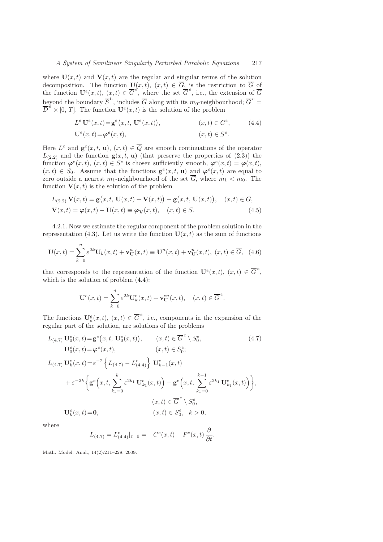where  $U(x, t)$  and  $V(x, t)$  are the regular and singular terms of the solution decomposition. The function  $U(x,t), (x,t) \in G$ , is the restriction to G of the function  $\mathbf{U}^e(x,t)$ ,  $(x,t) \in \overline{G}^e$ , where the set  $\overline{G}^e$ , i.e., the extension of  $\overline{G}$ beyond the boundary  $\overline{S}^L$ , includes  $\overline{G}$  along with its  $m_0$ -neighbourhood;  $\overline{G}^e$  =  $\overline{D}^e \times [0, T]$ . The function  $\mathbf{U}^e(x, t)$  is the solution of the problem

<span id="page-6-1"></span>
$$
L^{e} \mathbf{U}^{e}(x,t) = \mathbf{g}^{e}(x,t, \mathbf{U}^{e}(x,t)), \qquad (x,t) \in G^{e}, \qquad (4.4)
$$

<span id="page-6-3"></span>
$$
\mathbf{U}^e(x,t) = \boldsymbol{\varphi}^e(x,t), \qquad (x,t) \in S^e.
$$

Here  $L^e$  and  $\mathbf{g}^e(x,t,\mathbf{u}), (x,t) \in \overline{Q}$  are smooth continuations of the operator  $L_{(2,2)}$  and the function  $\mathbf{g}(x,t, \mathbf{u})$  (that preserve the properties of  $(2.3)$ ) the function  $\varphi^e(x,t)$ ,  $(x,t) \in S^e$  is chosen sufficiently smooth,  $\varphi^e(x,t) = \varphi(x,t)$ ,  $(x,t) \in S_0$ . Assume that the functions  $\mathbf{g}^e(x,t, \mathbf{u})$  and  $\boldsymbol{\varphi}^e(x,t)$  are equal to zero outside a nearest  $m_1$ -neighbourhood of the set  $\overline{G}$ , where  $m_1 < m_0$ . The function  $V(x, t)$  is the solution of the problem

$$
L_{(2.2)}\mathbf{V}(x,t) = \mathbf{g}(x,t,\mathbf{U}(x,t) + \mathbf{V}(x,t)) - \mathbf{g}(x,t,\mathbf{U}(x,t)), \quad (x,t) \in G,
$$
  

$$
\mathbf{V}(x,t) = \varphi(x,t) - \mathbf{U}(x,t) \equiv \varphi_{\mathbf{V}}(x,t), \quad (x,t) \in S.
$$
 (4.5)

[4.](#page-5-0)2.1. Now we estimate the regular component of the problem solution in the representation [\(4.3\)](#page-5-1). Let us write the function  $U(x, t)$  as the sum of functions

$$
\mathbf{U}(x,t) = \sum_{k=0}^{n} \varepsilon^{2k} \mathbf{U}_k(x,t) + \mathbf{v}_\mathbf{U}^n(x,t) \equiv \mathbf{U}^n(x,t) + \mathbf{v}_\mathbf{U}^n(x,t), \ (x,t) \in \overline{G}, \tag{4.6}
$$

that corresponds to the representation of the function  $\mathbf{U}^e(x,t)$ ,  $(x,t) \in \overline{G}^e$ , which is the solution of problem [\(4.4\)](#page-6-1):

<span id="page-6-2"></span><span id="page-6-0"></span>
$$
\mathbf{U}^e(x,t) = \sum_{k=0}^n \varepsilon^{2k} \mathbf{U}_k^e(x,t) + \mathbf{v}_\mathbf{U}^{en}(x,t), \quad (x,t) \in \overline{G}^e.
$$

The functions  $\mathbf{U}_k^e(x,t)$ ,  $(x,t) \in \overline{G}^e$ , i.e., components in the expansion of the regular part of the solution, are solutions of the problems

$$
L_{(4.7)} \mathbf{U}_{0}^{e}(x,t) = \mathbf{g}^{e}(x,t, \mathbf{U}_{0}^{e}(x,t)), \qquad (x,t) \in \overline{G}^{e} \setminus S_{0}^{e},
$$
\n
$$
\mathbf{U}_{0}^{e}(x,t) = \varphi^{e}(x,t), \qquad (x,t) \in S_{0}^{e};
$$
\n
$$
L_{(4.7)} \mathbf{U}_{k}^{e}(x,t) = \varepsilon^{-2} \left\{ L_{(4.7)} - L_{(4.4)}^{e} \right\} \mathbf{U}_{k-1}^{e}(x,t)
$$
\n
$$
+ \varepsilon^{-2k} \left\{ \mathbf{g}^{e}\left(x,t, \sum_{k_{1}=0}^{k} \varepsilon^{2k_{1}} \mathbf{U}_{k_{1}}^{e}(x,t) \right) - \mathbf{g}^{e}\left(x,t, \sum_{k_{1}=0}^{k-1} \varepsilon^{2k_{1}} \mathbf{U}_{k_{1}}^{e}(x,t) \right) \right\},
$$
\n
$$
(x,t) \in \overline{G}^{e} \setminus S_{0}^{e},
$$
\n
$$
\mathbf{U}_{k}^{e}(x,t) = \mathbf{0}, \qquad (x,t) \in S_{0}^{e}, k > 0,
$$
\n(4.7)

where

$$
L_{(4.7)} = L_{(4.4)}^e|_{\varepsilon=0} = -C^e(x,t) - P^e(x,t)\frac{\partial}{\partial t}.
$$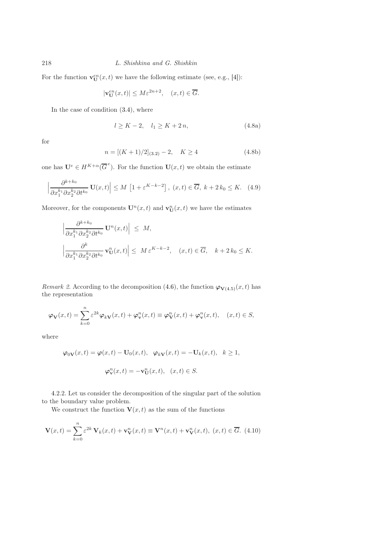For the function  $\mathbf{v}_{\mathbf{U}}^{en}(x,t)$  we have the following estimate (see, e.g., [\[4\]](#page-16-6)):

$$
|\mathbf{v}_{\mathrm{U}}^{en}(x,t)| \le M \varepsilon^{2n+2}, \quad (x,t) \in \overline{G}.
$$

In the case of condition [\(3.4\)](#page-4-2), where

<span id="page-7-3"></span><span id="page-7-1"></span>
$$
l \ge K - 2, \quad l_1 \ge K + 2n,\tag{4.8a}
$$

<span id="page-7-2"></span>for

$$
n = [(K+1)/2]_{(3.2)} - 2, \quad K \ge 4 \tag{4.8b}
$$

one has  $\mathbf{U}^e \in H^{K+\alpha}(\overline{G}^e)$ . For the function  $\mathbf{U}(x,t)$  we obtain the estimate

$$
\left|\frac{\partial^{k+k_0}}{\partial x_1^{k_1}\partial x_2^{k_2}\partial t^{k_0}}\mathbf{U}(x,t)\right| \le M\left[1+\varepsilon^{K-k-2}\right],\ (x,t)\in\overline{G},\ k+2k_0\le K.\tag{4.9}
$$

Moreover, for the components  $\mathbf{U}^n(x,t)$  and  $\mathbf{v}_\mathbf{U}^n(x,t)$  we have the estimates

$$
\left| \frac{\partial^{k+k_0}}{\partial x_1^{k_1} \partial x_2^{k_2} \partial t^{k_0}} \mathbf{U}^n(x,t) \right| \leq M,
$$
  

$$
\left| \frac{\partial^k}{\partial x_1^{k_1} \partial x_2^{k_2} \partial t^{k_0}} \mathbf{v}_\mathbf{U}^n(x,t) \right| \leq M \varepsilon^{K-k-2}, \quad (x,t) \in \overline{G}, \quad k+2k_0 \leq K.
$$

*Remark 2.* According to the decomposition [\(4.6\)](#page-6-0), the function  $\varphi_{V(4.5)}(x,t)$  $\varphi_{V(4.5)}(x,t)$  $\varphi_{V(4.5)}(x,t)$  has the representation

$$
\varphi_{\mathbf{V}}(x,t) = \sum_{k=0}^{n} \varepsilon^{2k} \varphi_{k\mathbf{V}}(x,t) + \varphi_{\mathbf{v}}^{n}(x,t) \equiv \varphi_{\mathbf{V}}^{n}(x,t) + \varphi_{\mathbf{v}}^{n}(x,t), \quad (x,t) \in S,
$$

where

<span id="page-7-0"></span>
$$
\varphi_{0\mathbf{V}}(x,t) = \varphi(x,t) - \mathbf{U}_0(x,t), \quad \varphi_{k\mathbf{V}}(x,t) = -\mathbf{U}_k(x,t), \quad k \ge 1,
$$
  

$$
\varphi_{\mathbf{V}}^n(x,t) = -\mathbf{v}_{\mathbf{U}}^n(x,t), \quad (x,t) \in S.
$$

[4.](#page-5-0)2.2. Let us consider the decomposition of the singular part of the solution to the boundary value problem.

We construct the function  $\mathbf{V}(x, t)$  as the sum of the functions

$$
\mathbf{V}(x,t) = \sum_{k=0}^{n} \varepsilon^{2k} \mathbf{V}_k(x,t) + \mathbf{v}_\mathbf{V}^n(x,t) \equiv \mathbf{V}^n(x,t) + \mathbf{v}_\mathbf{V}^n(x,t), \ (x,t) \in \overline{G}.
$$
 (4.10)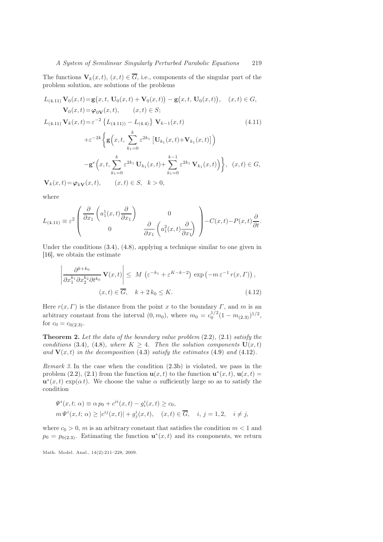The functions  $\mathbf{V}_k(x,t), (x,t) \in \overline{G}$ , i.e., components of the singular part of the problem solution, are solutions of the problems

$$
L_{(4.11)} \mathbf{V}_0(x,t) = \mathbf{g}(x,t, \mathbf{U}_0(x,t) + \mathbf{V}_0(x,t)) - \mathbf{g}(x,t, \mathbf{U}_0(x,t)), \quad (x,t) \in G,
$$
  
\n
$$
\mathbf{V}_0(x,t) = \varphi_{0\mathbf{V}}(x,t), \qquad (x,t) \in S;
$$
  
\n
$$
L_{(4.11)} \mathbf{V}_k(x,t) = \varepsilon^{-2} \{L_{(4.11)} - L_{(4.4)}\} \mathbf{V}_{k-1}(x,t)
$$
 (4.11)

 $+\varepsilon^{-2k}$  $\mathbf{g}\left(x,t,\right)$  $k_1=0$  $\varepsilon^{2k_1} \left[ \mathbf{U}_{k_1}(x,t) \!+\! \mathbf{V}_{k_1}(x,t) \right]$  $-\mathbf{g}^e\left(x,t,\sum\right)^k$  $\varepsilon^{2k_1} \mathbf{U}_{k_1}(x,t) +$  $\sum_{ }^{k-1}$  $\varepsilon^{2k_1} \mathbf{V}_{k_1}(x,t)$ ,  $(x,t) \in G$ ,

<span id="page-8-0"></span> $k_1=0$ 

 $\mathbf{V}_k(x,t) = \boldsymbol{\varphi}_{k\mathbf{V}}(x,t), \qquad (x,t) \in S, \quad k > 0,$ 

 $k_1=0$ 

where

$$
L_{(4.11)} \equiv \varepsilon^2 \begin{pmatrix} \frac{\partial}{\partial x_1} \left( a_1^1(x, t) \frac{\partial}{\partial x_1} \right) & 0 \\ 0 & \frac{\partial}{\partial x_1} \left( a_1^2(x, t) \frac{\partial}{\partial x_1} \right) \end{pmatrix} - C(x, t) - P(x, t) \frac{\partial}{\partial t}.
$$

Under the conditions [\(3.4\)](#page-4-2), [\(4.8\)](#page-7-1), applying a technique similar to one given in [\[16\]](#page-17-5), we obtain the estimate

<span id="page-8-1"></span>
$$
\left| \frac{\partial^{k+k_0}}{\partial x_1^{k_1} \partial x_2^{k_2} \partial t^{k_0}} \mathbf{V}(x, t) \right| \leq M \left( \varepsilon^{-k_1} + \varepsilon^{K-k_1} \right) \exp \left( -m \varepsilon^{-1} r(x, \Gamma) \right),
$$
  

$$
(x, t) \in \overline{G}, \quad k+2 \, k_0 \leq K. \tag{4.12}
$$

Here  $r(x, \Gamma)$  is the distance from the point x to the boundary  $\Gamma$ , and m is an arbitrary constant from the interval  $(0, m_0)$ , where  $m_0 = c_0^{1/2} (1 - m_{(2.3)})^{1/2}$  $m_0 = c_0^{1/2} (1 - m_{(2.3)})^{1/2}$  $m_0 = c_0^{1/2} (1 - m_{(2.3)})^{1/2}$ , for  $c_0 = c_{0(2.3)}$  $c_0 = c_{0(2.3)}$  $c_0 = c_{0(2.3)}$ .

<span id="page-8-2"></span>Theorem 2. *Let the data of the boundary value problem* [\(2.2\)](#page-3-2)*,* [\(2.1\)](#page-3-1) *satisfy the conditions* [\(3.4\)](#page-4-2)*,* (4.8*), where*  $K > 4$ *. Then the solution components*  $U(x, t)$ and  $V(x, t)$  *in the decomposition* [\(4.3\)](#page-5-1) *satisfy the estimates* [\(4.9\)](#page-7-3) *and* [\(4.12\)](#page-8-1)*.* 

<span id="page-8-3"></span>*Remark 3.* In the case when the condition [\(2.3b\)](#page-3-2) is violated, we pass in the problem [\(2.2\)](#page-3-2), [\(2.1\)](#page-3-1) from the function  $\mathbf{u}(x,t)$  to the function  $\mathbf{u}^*(x,t)$ ,  $\mathbf{u}(x,t)$  =  $\mathbf{u}^*(x,t) \exp(\alpha t)$ . We choose the value  $\alpha$  sufficiently large so as to satisfy the condition

$$
\Psi^{i}(x,t;\,\alpha) \equiv \alpha p_{0} + c^{ii}(x,t) - g^{i}_{i}(x,t) \geq c_{0},
$$
  
\n
$$
m\Psi^{i}(x,t;\,\alpha) \geq |c^{ij}(x,t)| + g^{i}_{j}(x,t), \quad (x,t) \in \overline{G}, \quad i, j = 1,2, \quad i \neq j,
$$

where  $c_0 > 0$ , m is an arbitrary constant that satisfies the condition  $m < 1$  and  $p_0 = p_{0(2,3)}$ . Estimating the function  $\mathbf{u}^*(x,t)$  and its components, we return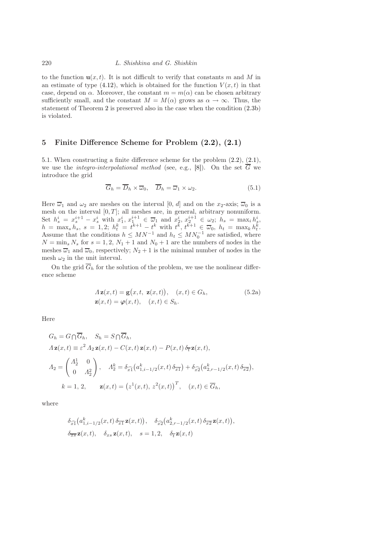to the function  $\mathbf{u}(x, t)$ . It is not difficult to verify that constants m and M in an estimate of type [\(4.12\)](#page-8-1), which is obtained for the function  $V(x, t)$  in that case, depend on  $\alpha$ . Moreover, the constant  $m = m(\alpha)$  can be chosen arbitrary sufficiently small, and the constant  $M = M(\alpha)$  grows as  $\alpha \to \infty$ . Thus, the statement of Theorem [2](#page-8-2) is preserved also in the case when the condition [\(2.3b\)](#page-3-2) is violated.

#### <span id="page-9-0"></span>5 Finite Difference Scheme for Problem [\(2.2\)](#page-3-2), [\(2.1\)](#page-3-1)

[5.](#page-9-0)1. When constructing a finite difference scheme for the problem [\(2.2\)](#page-3-2), [\(2.1\)](#page-3-1), we use the *integro-interpolational method* (see, e.g., [\[8\]](#page-17-6)). On the set  $\overline{G}$  we introduce the grid

$$
\overline{G}_h = \overline{D}_h \times \overline{\omega}_0, \quad \overline{D}_h = \overline{\omega}_1 \times \omega_2.
$$
 (5.1)

Here  $\overline{\omega}_1$  and  $\omega_2$  are meshes on the interval [0, d] and on the  $x_2$ -axis;  $\overline{\omega}_0$  is a mesh on the interval  $[0, T]$ ; all meshes are, in general, arbitrary nonuniform. Set  $h_s^i = x_s^{i+1} - x_s^i$  with  $x_1^i, x_1^{i+1} \in \overline{\omega}_1$  and  $x_2^i, x_2^{i+1} \in \omega_2$ ;  $h_s = \max_i h_s^i$ ,  $h = \max_s h_s, \ s = 1, 2; \ h_t^k = t^{k+1} - t^k \text{ with } t^k, t^{k+1} \in \overline{\omega}_0, \ h_t = \max_k h_t^k.$ Assume that the conditions  $h \leq MN^{-1}$  and  $h_t \leq MN_0^{-1}$  are satisfied, where  $N = \min_s N_s$  for  $s = 1, 2, N_1 + 1$  and  $N_0 + 1$  are the numbers of nodes in the meshes  $\overline{\omega}_1$  and  $\overline{\omega}_0$ , respectively;  $N_2 + 1$  is the minimal number of nodes in the mesh  $\omega_2$  in the unit interval.

On the grid  $\overline{G}_h$  for the solution of the problem, we use the nonlinear difference scheme

$$
A\mathbf{z}(x,t) = \mathbf{g}(x,t, \mathbf{z}(x,t)), (x,t) \in G_h,
$$
  

$$
\mathbf{z}(x,t) = \boldsymbol{\varphi}(x,t), (x,t) \in S_h.
$$
 (5.2a)

Here

$$
G_h = G \cap \overline{G}_h, \quad S_h = S \cap \overline{G}_h,
$$
  
\n
$$
\Lambda \mathbf{z}(x, t) \equiv \varepsilon^2 \Lambda_2 \mathbf{z}(x, t) - C(x, t) \mathbf{z}(x, t) - P(x, t) \delta_{\overline{t}} \mathbf{z}(x, t),
$$
  
\n
$$
\Lambda_2 = \begin{pmatrix} \Lambda_2^1 & 0 \\ 0 & \Lambda_2^2 \end{pmatrix}, \quad \Lambda_2^k = \delta_{\widehat{x1}} \big( a_{1, i-1/2}^k(x, t) \delta_{\overline{x1}} \big) + \delta_{\widehat{x2}} \big( a_{2, r-1/2}^k(x, t) \delta_{\overline{x2}} \big),
$$
  
\n
$$
k = 1, 2, \qquad \mathbf{z}(x, t) = \big( z^1(x, t), z^2(x, t) \big)^T, \quad (x, t) \in \overline{G}_h,
$$

where

$$
\delta_{\widehat{x1}}\big(a_{1,i-1/2}^k(x,t)\,\delta_{\overline{x1}}\,\mathbf{z}(x,t)\big),\quad \delta_{\widehat{x2}}\big(a_{2,r-1/2}^k(x,t)\,\delta_{\overline{x2}}\,\mathbf{z}(x,t)\big),
$$
  

$$
\delta_{\overline{x}\overline{s}}\,\mathbf{z}(x,t),\quad \delta_{xs}\,\mathbf{z}(x,t),\quad s=1,2,\quad \delta_{\overline{t}}\,\mathbf{z}(x,t)
$$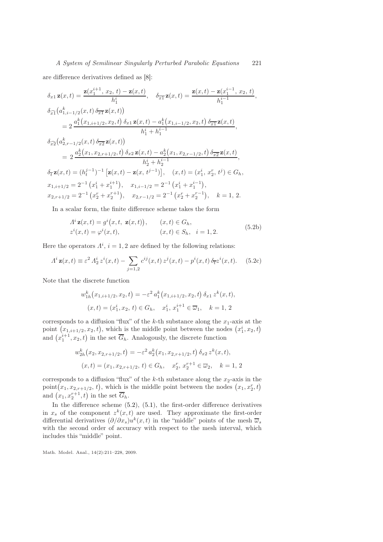,

are difference derivatives defined as [\[8\]](#page-17-6):

$$
\delta_{x1} \mathbf{z}(x,t) = \frac{\mathbf{z}(x_1^{i+1}, x_2, t) - \mathbf{z}(x,t)}{h_1^i}, \quad \delta_{\overline{x1}} \mathbf{z}(x,t) = \frac{\mathbf{z}(x,t) - \mathbf{z}(x_1^{i-1}, x_2, t)}{h_1^{i-1}}
$$
\n
$$
\delta_{\widehat{x1}}(a_{1,i-1/2}^k(x,t) \delta_{\overline{x1}} \mathbf{z}(x,t))
$$
\n
$$
= 2 \frac{a_1^k(x_{1,i+1/2}, x_2, t) \delta_{x1} \mathbf{z}(x,t) - a_1^k(x_{1,i-1/2}, x_2, t) \delta_{\overline{x1}} \mathbf{z}(x,t)}{h_1^i + h_1^{i-1}},
$$
\n
$$
\delta_{\widehat{x2}}(a_{2,r-1/2}^k(x,t) \delta_{\overline{x2}} \mathbf{z}(x,t))
$$
\n
$$
= 2 \frac{a_2^k(x_1, x_{2,r+1/2}, t) \delta_{x2} \mathbf{z}(x,t) - a_2^k(x_1, x_{2,r-1/2}, t) \delta_{\overline{x2}} \mathbf{z}(x,t)}{h_2^i + h_2^{i-1}},
$$
\n
$$
\delta_{\overline{t}} \mathbf{z}(x,t) = (h_t^{j-1})^{-1} [\mathbf{z}(x,t) - \mathbf{z}(x,t^{j-1})], \quad (x,t) = (x_1^i, x_2^r, t^j) \in G_h,
$$
\n
$$
x_{1,i+1/2} = 2^{-1} (x_1^i + x_1^{i+1}), \quad x_{1,i-1/2} = 2^{-1} (x_1^i + x_1^{i-1}),
$$
\n
$$
x_{2,r+1/2} = 2^{-1} (x_2^r + x_2^{r+1}), \quad x_{2,r-1/2} = 2^{-1} (x_2^r + x_2^{r-1}), \quad k = 1, 2.
$$

In a scalar form, the finite difference scheme takes the form

$$
Ai \mathbf{z}(x,t) = gi(x,t, \mathbf{z}(x,t)), \qquad (x,t) \in G_h,
$$
  
\n
$$
zi(x,t) = \varphii(x,t), \qquad (x,t) \in S_h, \quad i = 1,2.
$$
\n(5.2b)

Here the operators  $\Lambda^i$ ,  $i = 1, 2$  are defined by the following relations:

$$
A^{i} \mathbf{z}(x,t) \equiv \varepsilon^{2} A_{2}^{i} z^{i}(x,t) - \sum_{j=1,2} c^{ij}(x,t) z^{j}(x,t) - p^{i}(x,t) \delta_{\overline{t}} z^{i}(x,t).
$$
 (5.2c)

Note that the discrete function

$$
w_{1h}^{k}(x_{1,i+1/2}, x_2, t) = -\varepsilon^2 a_1^{k}(x_{1,i+1/2}, x_2, t) \, \delta_{x1} \, z^k(x, t),
$$

$$
(x, t) = (x_1^i, x_2, t) \in G_h, \quad x_1^i, x_1^{i+1} \in \overline{\omega}_1, \quad k = 1, 2
$$

corresponds to a diffusion "flux" of the k-th substance along the  $x_1$ -axis at the point  $(x_{1,i+1/2}, x_2, t)$ , which is the middle point between the nodes  $(x_1^i, x_2, t)$ and  $(x_1^{i+1}, x_2, t)$  in the set  $\overline{G}_h$ . Analogously, the discrete function

$$
w_{2h}^k(x_2, x_{2,r+1/2}, t) = -\varepsilon^2 a_2^k(x_1, x_{2,r+1/2}, t) \, \delta_{x2} \, z^k(x, t),
$$
  

$$
(x, t) = (x_1, x_{2,r+1/2}, t) \in G_h, \quad x_2^r, x_2^{r+1} \in \overline{\omega}_2, \quad k = 1, 2
$$

corresponds to a diffusion "flux" of the k-th substance along the  $x_2$ -axis in the point  $(x_1, x_{2,r+1/2}, t)$ , which is the middle point between the nodes  $(x_1, x_2, t)$ and  $(x_1, x_2^{r+1}, t)$  in the set  $\overline{G}_h$ .

In the difference scheme  $(5.2)$ ,  $(5.1)$ , the first-order difference derivatives in  $x_s$  of the component  $z^k(x,t)$  are used. They approximate the first-order differential derivatives  $(\partial/\partial x_s)u^k(x,t)$  in the "middle" points of the mesh  $\overline{\omega}_s$ with the second order of accuracy with respect to the mesh interval, which includes this "middle" point.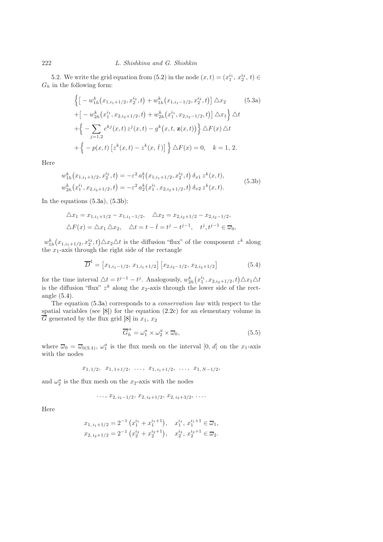[5.](#page-9-0)2. We write the grid equation from [\(5.2\)](#page-11-0) in the node  $(x,t) = (x_1^{i_1}, x_2^{i_2}, t) \in$  $\mathcal{G}_h$  in the following form:

<span id="page-11-4"></span><span id="page-11-1"></span>
$$
\left\{ \left[ -w_{1h}^{k}(x_{1,i_{1}+1/2}, x_{2}^{i_{2}}, t) + w_{1h}^{k}(x_{1,i_{1}-1/2}, x_{2}^{i_{2}}, t) \right] \Delta x_{2} \right\}
$$
(5.3a)  
+
$$
\left[ -w_{2h}^{k}(x_{1}^{i_{1}}, x_{2,i_{2}+1/2}, t) + w_{2h}^{k}(x_{1}^{i_{1}}, x_{2,i_{2}-1/2}, t) \right] \Delta x_{1} \right\} \Delta t
$$
+
$$
\left\{ -\sum_{j=1,2} c^{kj}(x, t) z^{j}(x, t) - g^{k}(x, t, \mathbf{z}(x, t)) \right\} \Delta F(x) \Delta t
$$
+
$$
\left\{ -p(x, t) \left[ z^{k}(x, t) - z^{k}(x, \breve{t}) \right] \right\} \Delta F(x) = 0, \quad k = 1, 2.
$$

Here

<span id="page-11-0"></span>
$$
w_{1h}^k(x_{1,i_1+1/2}, x_2^{i_2}, t) = -\varepsilon^2 a_1^k(x_{1,i_1+1/2}, x_2^{i_2}, t) \, \delta_{x1} z^k(x, t),
$$
  
\n
$$
w_{2h}^k(x_1^{i_1}, x_{2,i_2+1/2}, t) = -\varepsilon^2 a_2^k(x_1^{i_1}, x_{2,i_2+1/2}, t) \, \delta_{x2} z^k(x, t).
$$
\n
$$
(5.3b)
$$

In the equations  $(5.3a)$ ,  $(5.3b)$ :

$$
\Delta x_1 = x_{1,i_1+1/2} - x_{1,i_1-1/2}, \quad \Delta x_2 = x_{2,i_2+1/2} - x_{2,i_2-1/2},
$$
  

$$
\Delta F(x) = \Delta x_1 \Delta x_2, \quad \Delta t = t - \check{t} = t^j - t^{j-1}, \quad t^j, t^{j-1} \in \overline{\omega}_0,
$$

 $w_{1h}^k(x_{1,i_1+1/2}, x_2^{i_2}, t) \triangle x_2 \triangle t$  is the diffusion "flux" of the component  $z^k$  along the  $x_1$ -axis through the right side of the rectangle

<span id="page-11-2"></span>
$$
\overline{D}^{1} = [x_{1,i_1-1/2}, x_{1,i_1+1/2}] [x_{2,i_2-1/2}, x_{2,i_2+1/2}] \qquad (5.4)
$$

for the time interval  $\triangle t = t^{j-1} - t^j$ . Analogously,  $w_{2h}^k(x_1^{i_1}, x_{2,i_2+1/2}, t) \triangle x_1 \triangle t$ is the diffusion "flux"  $z^k$  along the  $x_2$ -axis through the lower side of the rectangle [\(5.4\)](#page-11-2).

The equation [\(5.3a\)](#page-11-1) corresponds to a *conservation law* with respect to the spatial variables (see [\[8\]](#page-17-6)) for the equation [\(2.2c\)](#page-3-4) for an elementary volume in  $\overline{G}$  generated by the flux grid [\[8\]](#page-17-6) in  $x_1, x_2$ 

<span id="page-11-3"></span>
$$
\overline{G}_h^a = \omega_1^a \times \omega_2^a \times \overline{\omega}_0,\tag{5.5}
$$

where  $\overline{\omega}_0 = \overline{\omega}_{0(5.1)}$  $\overline{\omega}_0 = \overline{\omega}_{0(5.1)}$  $\overline{\omega}_0 = \overline{\omega}_{0(5.1)}$ ,  $\omega_1^a$  is the flux mesh on the interval  $[0, d]$  on the x<sub>1</sub>-axis with the nodes

$$
x_{1,1/2}, x_{1,1+1/2}, \ldots, x_{1,i_1+1/2}, \ldots, x_{1,N-1/2},
$$

and  $\omega_2^a$  is the flux mesh on the  $x_2$ -axis with the nodes

$$
\ldots, x_{2, i_2-1/2}, x_{2, i_2+1/2}, x_{2, i_2+3/2}, \ldots
$$

Here

$$
x_{1, i_1+1/2} = 2^{-1} (x_1^{i_1} + x_1^{i_1+1}), \quad x_1^{i_1}, x_1^{i_1+1} \in \overline{\omega}_1,
$$
  

$$
x_{2, i_2+1/2} = 2^{-1} (x_2^{i_2} + x_2^{i_2+1}), \quad x_2^{i_2}, x_2^{i_2+1} \in \overline{\omega}_2.
$$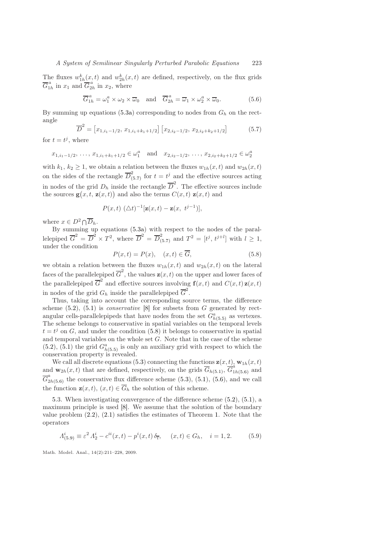The fluxes  $w_{1h}^k(x,t)$  and  $w_{2h}^k(x,t)$  are defined, respectively, on the flux grids  $\overline{G}_{1i}^{\,a}$  $\frac{a}{1h}$  in  $x_1$  and  $\overline{G}_{2h}$  $\sum_{2h}^{a}$  in  $x_2$ , where

<span id="page-12-2"></span>
$$
\overline{G}_{1h}^a = \omega_1^a \times \omega_2 \times \overline{\omega}_0 \quad \text{and} \quad \overline{G}_{2h}^a = \overline{\omega}_1 \times \omega_2^a \times \overline{\omega}_0. \tag{5.6}
$$

By summing up equations [\(5.3a\)](#page-11-1) corresponding to nodes from  $G_h$  on the rectangle

<span id="page-12-0"></span>
$$
\overline{D}^2 = [x_{1,i_1-1/2}, x_{1,i_1+k_1+1/2}] [x_{2,i_2-1/2}, x_{2,i_2+k_2+1/2}] \tag{5.7}
$$

for  $t = t^j$ , where

$$
x_{1,i_1-1/2}, \ldots, x_{1,i_1+k_1+1/2} \in \omega_1^a
$$
 and  $x_{2,i_2-1/2}, \ldots, x_{2,i_2+k_2+1/2} \in \omega_2^a$ 

with  $k_1, k_2 \geq 1$ , we obtain a relation between the fluxes  $w_{1h}(x, t)$  and  $w_{2h}(x, t)$ on the sides of the rectangle  $\overline{D}_0^2$  $\int_{(5.7)}^{2}$  $\int_{(5.7)}^{2}$  $\int_{(5.7)}^{2}$  for  $t = t^j$  and the effective sources acting in nodes of the grid  $D_h$  inside the rectangle  $\overline{D}^2$ . The effective sources include the sources  $\mathbf{g}(x,t, \mathbf{z}(x,t))$  and also the terms  $C(x,t)$   $\mathbf{z}(x,t)$  and

$$
P(x,t) \ (\triangle t)^{-1} [\mathbf{z}(x,t) - \mathbf{z}(x, t^{j-1})],
$$

where  $x \in D^2 \cap \overline{D}_h$ .

By summing up equations [\(5.3a\)](#page-11-1) with respect to the nodes of the parallelepiped  $\overline{G}^2 = \overline{D}^2 \times T^2$ , where  $\overline{D}^2 = \overline{D}^2_{(5.7)}$  $\overline{D}^2 = \overline{D}^2_{(5.7)}$  $\overline{D}^2 = \overline{D}^2_{(5.7)}$  and  $T^2 = [t^j, t^{j+l}]$  with  $l \ge 1$ , under the condition

<span id="page-12-1"></span>
$$
P(x,t) = P(x), \quad (x,t) \in \overline{G}, \tag{5.8}
$$

we obtain a relation between the fluxes  $w_{1h}(x, t)$  and  $w_{2h}(x, t)$  on the lateral faces of the parallelepiped  $\overline{G}^2$ , the values  $\mathbf{z}(x,t)$  on the upper and lower faces of the parallelepiped  $\overline{G}^2$  and effective sources involving  $f(x, t)$  and  $C(x, t) z(x, t)$ in nodes of the grid  $G_h$  inside the parallelepiped  $\overline{G}^2$ .

Thus, taking into account the corresponding source terms, the difference scheme [\(5.2\)](#page-11-0), [\(5.1\)](#page-11-1) is *conservative* [\[8\]](#page-17-6) for subsets from G generated by rectangular cells-parallelepipeds that have nodes from the set  $G^a_{h(5.5)}$  $G^a_{h(5.5)}$  $G^a_{h(5.5)}$  as vertexes. The scheme belongs to conservative in spatial variables on the temporal levels  $t = t<sup>j</sup>$  on G, and under the condition [\(5.8\)](#page-12-1) it belongs to conservative in spatial and temporal variables on the whole set  $G$ . Note that in the case of the scheme  $(5.2)$ ,  $(5.1)$  the grid  $G_{h(5.5)}^a$  $G_{h(5.5)}^a$  $G_{h(5.5)}^a$  is only an auxiliary grid with respect to which the conservation property is revealed.

We call all discrete equations [\(5.3\)](#page-11-4) connecting the functions  $\mathbf{z}(x,t)$ ,  $\mathbf{w}_{1h}(x,t)$ and  $\mathbf{w}_{2h}(x,t)$  that are defined, respectively, on the grids  $G_{h(5,1)}$ ,  $G^{\alpha}_{1h(5,6)}$  and  $\overline{G}^a_2$  $\mathcal{L}_{2h(5.6)}^{a}$  $\mathcal{L}_{2h(5.6)}^{a}$  $\mathcal{L}_{2h(5.6)}^{a}$  the conservative flux difference scheme [\(5.3\)](#page-11-4), [\(5.1\)](#page-11-1), [\(5.6\)](#page-12-2), and we call the function  $\mathbf{z}(x, t)$ ,  $(x, t) \in \overline{G}_h$  the solution of this scheme.

[5.](#page-9-0)3. When investigating convergence of the difference scheme [\(5.2\)](#page-11-0), [\(5.1\)](#page-11-1), a maximum principle is used [\[8\]](#page-17-6). We assume that the solution of the boundary value problem [\(2.2\)](#page-3-2), [\(2.1\)](#page-3-1) satisfies the estimates of Theorem [1.](#page-5-2) Note that the operators

<span id="page-12-3"></span>
$$
A_{(5.9)}^i \equiv \varepsilon^2 A_2^i - c^{ii}(x, t) - p^i(x, t) \, \delta_{\overline{t}}, \quad (x, t) \in G_h, \quad i = 1, 2. \tag{5.9}
$$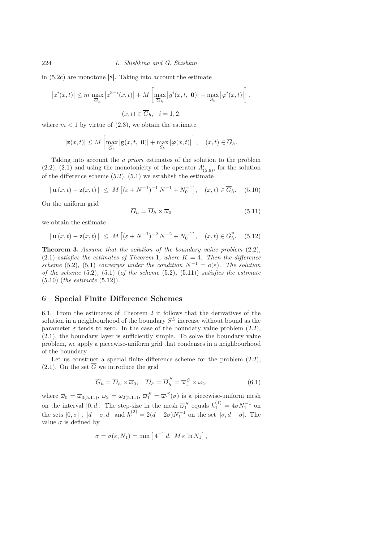in [\(5.2c\)](#page-11-4) are monotone [\[8\]](#page-17-6). Taking into account the estimate

$$
\left| z^{i}(x,t) \right| \leq m \max_{\overline{G}_{h}} \left| z^{3-i}(x,t) \right| + M \left[ \max_{\overline{G}_{h}} \left| g^{i}(x,t, 0) \right| + \max_{S_{h}} \left| \varphi^{i}(x,t) \right| \right],
$$
  

$$
(x,t) \in \overline{G}_{h}, \quad i = 1,2,
$$

where  $m < 1$  by virtue of  $(2.3)$ , we obtain the estimate

$$
|\mathbf{z}(x,t)| \leq M \left[ \max_{\overline{G}_h} |\mathbf{g}(x,t, \mathbf{0})| + \max_{S_h} |\varphi(x,t)| \right], \quad (x,t) \in \overline{G}_h.
$$

Taking into account the *a priori* estimates of the solution to the problem  $(2.2)$ ,  $(2.1)$  and using the monotonicity of the operator  $\Lambda^i_{(5.9)}$  $\Lambda^i_{(5.9)}$  $\Lambda^i_{(5.9)}$ , for the solution of the difference scheme  $(5.2)$ ,  $(5.1)$  we establish the estimate

$$
|\mathbf{u}(x,t) - \mathbf{z}(x,t)| \leq M [(\varepsilon + N^{-1})^{-1} N^{-1} + N_0^{-1}], \quad (x,t) \in \overline{G}_h.
$$
 (5.10)

On the uniform grid

<span id="page-13-3"></span><span id="page-13-2"></span><span id="page-13-1"></span>
$$
\overline{G}_h = \overline{D}_h \times \overline{\omega}_0 \tag{5.11}
$$

we obtain the estimate

$$
|\mathbf{u}(x,t) - \mathbf{z}(x,t)| \leq M \left[ (\varepsilon + N^{-1})^{-2} N^{-2} + N_0^{-1} \right], (x,t) \in \overline{G}_h^u.
$$
 (5.12)

<span id="page-13-4"></span>Theorem 3. *Assume that the solution of the boundary value problem* [\(2.2\)](#page-3-2)*,*  $(2.1)$  *satisfies the estimates of Theorem* [1](#page-5-2)*, where*  $K = 4$ *. Then the difference scheme* [\(5.2\)](#page-11-0), [\(5.1\)](#page-11-1) *converges under the condition*  $N^{-1} = o(\varepsilon)$ *. The solution of the scheme* [\(5.2\)](#page-11-0)*,* [\(5.1\)](#page-11-1) (*of the scheme* [\(5.2\)](#page-11-0)*,* [\(5.11\)](#page-13-1)) *satisfies the estimate* [\(5.10\)](#page-13-2) (*the estimate* [\(5.12\)](#page-13-3))*.*

### <span id="page-13-0"></span>6 Special Finite Difference Schemes

[6.](#page-13-0)1. From the estimates of Theorem [2](#page-8-2) it follows that the derivatives of the solution in a neighbourhood of the boundary  $S<sup>L</sup>$  increase without bound as the parameter  $\varepsilon$  tends to zero. In the case of the boundary value problem [\(2.2\)](#page-3-2), [\(2.1\)](#page-3-1), the boundary layer is sufficiently simple. To solve the boundary value problem, we apply a piecewise-uniform grid that condenses in a neighbourhood of the boundary.

Let us construct a special finite difference scheme for the problem  $(2.2)$ ,  $(2.1)$ . On the set  $\overline{G}$  we introduce the grid

$$
\overline{G}_h = \overline{D}_h \times \overline{\omega}_0, \quad \overline{D}_h = \overline{D}_h^S = \overline{\omega}_1^S \times \omega_2,
$$
\n(6.1)

where  $\overline{\omega}_0 = \overline{\omega}_{0(5.11)}, \omega_2 = \omega_{2(5.11)}, \overline{\omega}_1^S = \overline{\omega}_1^S(\sigma)$  $\overline{\omega}_0 = \overline{\omega}_{0(5.11)}, \omega_2 = \omega_{2(5.11)}, \overline{\omega}_1^S = \overline{\omega}_1^S(\sigma)$  $\overline{\omega}_0 = \overline{\omega}_{0(5.11)}, \omega_2 = \omega_{2(5.11)}, \overline{\omega}_1^S = \overline{\omega}_1^S(\sigma)$  is a piecewise-uniform mesh on the interval [0, d]. The step-size in the mesh  $\overline{\omega}_1^S$  equals  $h_1^{(1)} = 4\sigma N_1^{-1}$  on the sets  $[0, \sigma]$ ,  $[d - \sigma, d]$  and  $h_1^{(2)} = 2(d - 2\sigma)N_1^{-1}$  on the set  $[\sigma, d - \sigma]$ . The value  $\sigma$  is defined by

$$
\sigma = \sigma(\varepsilon, N_1) = \min \left[ 4^{-1} d, M \varepsilon \ln N_1 \right],
$$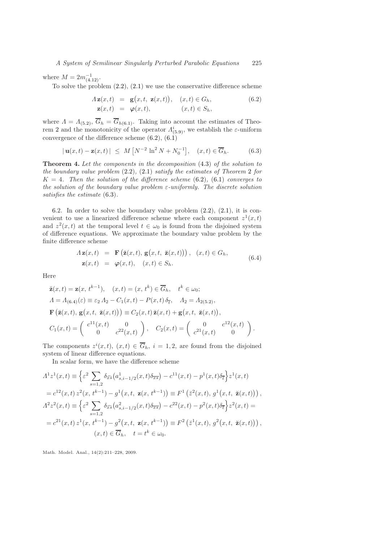where  $M = 2m_{(4.12)}^{-1}$  $M = 2m_{(4.12)}^{-1}$  $M = 2m_{(4.12)}^{-1}$ .

To solve the problem  $(2.2)$ ,  $(2.1)$  we use the conservative difference scheme

<span id="page-14-2"></span><span id="page-14-1"></span>
$$
A \mathbf{z}(x,t) = \mathbf{g}(x,t, \mathbf{z}(x,t)), \quad (x,t) \in G_h,
$$
  
\n
$$
\mathbf{z}(x,t) = \boldsymbol{\varphi}(x,t), \quad (x,t) \in S_h,
$$
\n(6.2)

where  $\Lambda = \Lambda_{(5,2)}$ ,  $G_h = G_{h(6,1)}$ . Taking into account the estimates of Theo-rem [2](#page-8-2) and the monotonicity of the operator  $\Lambda^i_{(5.9)}$  $\Lambda^i_{(5.9)}$  $\Lambda^i_{(5.9)}$ , we establish the  $\varepsilon$ -uniform convergence of the difference scheme  $(6.2)$ ,  $(6.1)$ 

$$
|\mathbf{u}(x,t) - \mathbf{z}(x,t)| \leq M \left[ N^{-2} \ln^2 N + N_0^{-1} \right], \quad (x,t) \in \overline{G}_h.
$$
 (6.3)

<span id="page-14-3"></span>Theorem 4. *Let the components in the decomposition* [\(4.3\)](#page-5-1) *of the solution to the boundary value problem* [\(2.2\)](#page-3-2)*,* [\(2.1\)](#page-3-1) *satisfy the estimates of Theorem* [2](#page-8-2) *for*  $K = 4$ *. Then the solution of the difference scheme* [\(6.2\)](#page-14-1), [\(6.1\)](#page-14-0) *converges to the solution of the boundary value problem* ε*-uniformly. The discrete solution satisfies the estimate* [\(6.3\)](#page-14-2)*.*

[6.](#page-13-0)2. In order to solve the boundary value problem  $(2.2)$ ,  $(2.1)$ , it is convenient to use a linearized difference scheme where each component  $z^1(x,t)$ and  $z^2(x,t)$  at the temporal level  $t \in \omega_0$  is found from the disjoined system of difference equations. We approximate the boundary value problem by the finite difference scheme

<span id="page-14-0"></span>
$$
\Lambda \mathbf{z}(x,t) = \mathbf{F}(\breve{\mathbf{z}}(x,t), \mathbf{g}(x,t, \breve{\mathbf{z}}(x,t))), (x,t) \in G_h,
$$
  

$$
\mathbf{z}(x,t) = \boldsymbol{\varphi}(x,t), (x,t) \in S_h.
$$
 (6.4)

Here

$$
\begin{split}\n\breve{\mathbf{z}}(x,t) &= \mathbf{z}(x, t^{k-1}), \quad (x,t) = (x, t^k) \in \overline{G}_h, \quad t^k \in \omega_0; \\
A &= A_{(6.4)}(\varepsilon) \equiv \varepsilon_2 A_2 - C_1(x,t) - P(x,t) \, \delta_{\overline{t}}, \quad A_2 = A_{2(5.2)}, \\
\mathbf{F}\left(\breve{\mathbf{z}}(x,t), \, \mathbf{g}(x,t, \, \breve{\mathbf{z}}(x,t))\right) &= C_2(x,t) \, \breve{\mathbf{z}}(x,t) + \mathbf{g}(x,t, \, \breve{\mathbf{z}}(x,t)), \\
C_1(x,t) &= \left(\begin{array}{cc} c^{11}(x,t) & 0 \\ 0 & c^{22}(x,t) \end{array}\right), \quad C_2(x,t) = \left(\begin{array}{cc} 0 & c^{12}(x,t) \\ c^{21}(x,t) & 0 \end{array}\right).\n\end{split}
$$

The components  $z^{i}(x,t)$ ,  $(x,t) \in \overline{G}_h$ ,  $i = 1,2$ , are found from the disjoined system of linear difference equations.

In scalar form, we have the difference scheme

$$
A^{1}z^{1}(x,t) \equiv \left\{ \varepsilon^{2} \sum_{s=1,2} \delta_{\widehat{x}} \left( a^{1}_{s,i-1/2}(x,t) \delta_{\overline{x}} \right) - c^{11}(x,t) - p^{1}(x,t) \delta_{\overline{t}} \right\} z^{1}(x,t)
$$
  
\n
$$
= c^{12}(x,t) z^{2}(x,t^{k-1}) - g^{1}(x,t, \mathbf{z}(x,t^{k-1})) \equiv F^{1} \left( \check{z}^{2}(x,t), g^{1}(x,t, \check{\mathbf{z}}(x,t)) \right),
$$
  
\n
$$
A^{2}z^{2}(x,t) \equiv \left\{ \varepsilon^{2} \sum_{s=1,2} \delta_{\widehat{x}} \left( a^{2}_{s,i-1/2}(x,t) \delta_{\overline{x}} \right) - c^{22}(x,t) - p^{2}(x,t) \delta_{\overline{t}} \right\} z^{2}(x,t) =
$$
  
\n
$$
= c^{21}(x,t) z^{1}(x,t^{k-1}) - g^{2}(x,t, \mathbf{z}(x,t^{k-1})) \equiv F^{2} \left( \check{z}^{1}(x,t), g^{2}(x,t, \check{\mathbf{z}}(x,t)) \right),
$$
  
\n
$$
(x,t) \in \overline{G}_{h}, \quad t = t^{k} \in \omega_{0}.
$$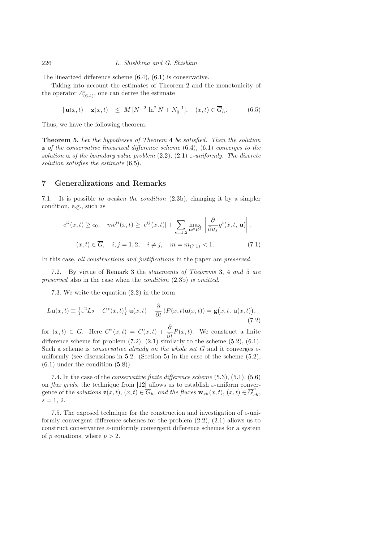The linearized difference scheme [\(6.4\)](#page-14-0), [\(6.1\)](#page-14-0) is conservative.

Taking into account the estimates of Theorem [2](#page-8-2) and the monotonicity of the operator  $\Lambda^i_{(6.4)}$  $\Lambda^i_{(6.4)}$  $\Lambda^i_{(6.4)}$ , one can derive the estimate

<span id="page-15-1"></span>
$$
|\mathbf{u}(x,t) - \mathbf{z}(x,t)| \leq M \left[ N^{-2} \ln^2 N + N_0^{-1} \right], \quad (x,t) \in \overline{G}_h. \tag{6.5}
$$

<span id="page-15-3"></span>Thus, we have the following theorem.

Theorem 5. *Let the hypotheses of Theorem* [4](#page-14-3) *be satisfied. Then the solution* z *of the conservative linearized difference scheme* [\(6.4\)](#page-14-0)*,* [\(6.1\)](#page-14-0) *converges to the solution* **u** *of the boundary value problem*  $(2.2)$ *,*  $(2.1)$   $\varepsilon$ -uniformly. The discrete *solution satisfies the estimate* [\(6.5\)](#page-15-1)*.*

## <span id="page-15-0"></span>7 Generalizations and Remarks

[7.](#page-15-0)1. It is possible *to weaken the condition* [\(2.3b\)](#page-3-2), changing it by a simpler condition, e.g., such as

<span id="page-15-2"></span>
$$
c^{ii}(x,t) \ge c_0, \quad mc^{ii}(x,t) \ge |c^{ij}(x,t)| + \sum_{s=1,2} \max_{\mathbf{u} \in R^2} \left| \frac{\partial}{\partial u_s} g^i(x,t, \mathbf{u}) \right|,
$$
  

$$
(x,t) \in \overline{G}, \quad i, j = 1,2, \quad i \ne j, \quad m = m_{(7.1)} < 1.
$$
 (7.1)

In this case, *all constructions and justifications* in the paper *are preserved*.

[7.](#page-15-0)2. By virtue of Remark [3](#page-8-3) the *statements of Theorems* [3,](#page-13-4) [4](#page-14-3) *and* [5](#page-15-3) *are preserved* also in the case when the *condition* [\(2.3b\)](#page-3-2) *is omitted*.

<span id="page-15-4"></span>[7.](#page-15-0)3. We write the equation [\(2.2\)](#page-3-2) in the form

$$
L\mathbf{u}(x,t) \equiv \left\{ \varepsilon^2 L_2 - C^*(x,t) \right\} \mathbf{u}(x,t) - \frac{\partial}{\partial t} \left( P(x,t) \mathbf{u}(x,t) \right) = \mathbf{g}(x,t, \mathbf{u}(x,t)),\tag{7.2}
$$

for  $(x,t) \in G$ . Here  $C^*(x,t) = C(x,t) + \frac{\partial}{\partial t} P(x,t)$ . We construct a finite difference scheme for problem  $(7.2)$ ,  $(2.1)$  similarly to the scheme  $(5.2)$ ,  $(6.1)$ . Such a scheme is *conservative already on the whole set* G and it converges εuniformly (see discussions in [5.](#page-9-0)2. (Section [5\)](#page-9-0) in the case of the scheme [\(5.2\)](#page-11-0),  $(6.1)$  under the condition  $(5.8)$ ).

[7.](#page-15-0)4. In the case of the *conservative finite difference scheme* [\(5.3\)](#page-11-4), [\(5.1\)](#page-11-1), [\(5.6\)](#page-12-2) on *flux grids*, the technique from [\[12\]](#page-17-9) allows us to establish  $\varepsilon$ -uniform convergence of the *solutions*  $\mathbf{z}(x,t)$ ,  $(x,t) \in \overline{G}_h$ , and the fluxes  $\mathbf{w}_{sh}(x,t)$ ,  $(x,t) \in \overline{G}_{sh}^a$ ,  $s = 1, 2.$ 

[7.](#page-15-0)5. The exposed technique for the construction and investigation of  $\varepsilon$ -uniformly convergent difference schemes for the problem [\(2.2\)](#page-3-2), [\(2.1\)](#page-3-1) allows us to construct conservative  $\varepsilon$ -uniformly convergent difference schemes for a system of p equations, where  $p > 2$ .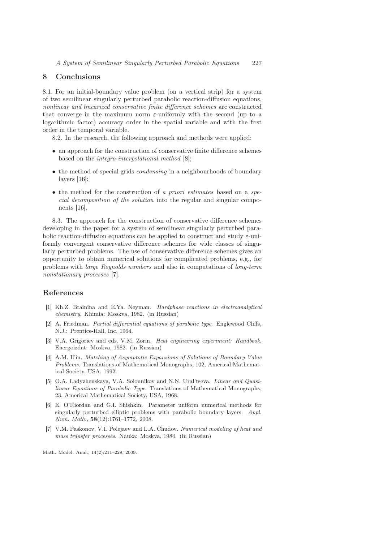#### <span id="page-16-1"></span>8 Conclusions

[8.](#page-16-1)1. For an initial-boundary value problem (on a vertical strip) for a system of two semilinear singularly perturbed parabolic reaction-diffusion equations, *nonlinear and linearized conservative finite difference schemes* are constructed that converge in the maximum norm  $\varepsilon$ -uniformly with the second (up to a logarithmic factor) accuracy order in the spatial variable and with the first order in the temporal variable.

[8.](#page-16-1)2. In the research, the following approach and methods were applied:

- an approach for the construction of conservative finite difference schemes based on the *integro-interpolational method* [\[8\]](#page-17-6);
- the method of special grids *condensing* in a neighbourhoods of boundary layers [\[16\]](#page-17-5);
- the method for the construction of *a priori estimates* based on a *special decomposition of the solution* into the regular and singular components [\[16\]](#page-17-5).

[8.](#page-16-1)3. The approach for the construction of conservative difference schemes developing in the paper for a system of semilinear singularly perturbed parabolic reaction-diffusion equations can be applied to construct and study  $\varepsilon$ -uniformly convergent conservative difference schemes for wide classes of singularly perturbed problems. The use of conservative difference schemes gives an opportunity to obtain numerical solutions for complicated problems, e.g., for problems with *large Reynolds numbers* and also in computations of *long-term nonstationary processes* [\[7\]](#page-16-7).

## <span id="page-16-2"></span>References

- [1] Kh.Z. Brainina and E.Ya. Neyman. *Hardphase reactions in electroanalytical chemistry*. Khimia: Moskva, 1982. (in Russian)
- <span id="page-16-3"></span>[2] A. Friedman. *Partial differential equations of parabolic type*. Englewood Cliffs, N.J.: Prentice-Hall, Inc, 1964.
- <span id="page-16-0"></span>[3] V.A. Grigoriev and eds. V.M. Zorin. *Heat engineering experiment: Handbook*. Energoizdat: Moskva, 1982. (in Russian)
- <span id="page-16-6"></span>[4] A.M. Il'in. *Matching of Asymptotic Expansions of Solutions of Boundary Value Problems*. Translations of Mathematical Monographs, 102, Americal Mathematical Society, USA, 1992.
- <span id="page-16-4"></span>[5] O.A. Ladyzhenskaya, V.A. Solonnikov and N.N. Ural'tseva. *Linear and Quasilinear Equations of Parabolic Type*. Translations of Mathematical Monographs, 23, Americal Mathematical Society, USA, 1968.
- <span id="page-16-5"></span>[6] E. O'Riordan and G.I. Shishkin. Parameter uniform numerical methods for singularly perturbed elliptic problems with parabolic boundary layers. *Appl. Num. Math.*, 58(12):1761–1772, 2008.
- <span id="page-16-7"></span>[7] V.M. Paskonov, V.I. Polejaev and L.A. Chudov. *Numerical modeling of heat and mass transfer processes*. Nauka: Moskva, 1984. (in Russian)